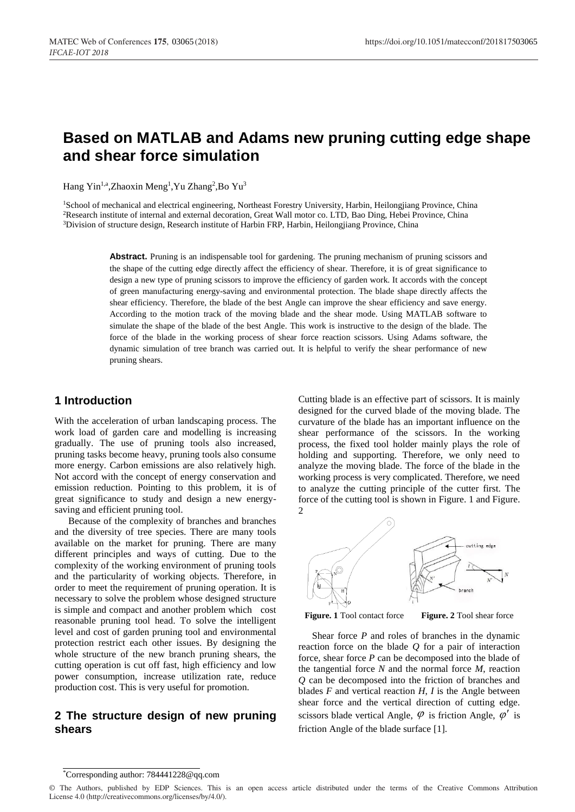# **Based on MATLAB and Adams new pruning cutting edge shape and shear force simulation**

Hang Yin<sup>1,a</sup>,Zhaoxin Meng<sup>1</sup>,Yu Zhang<sup>2</sup>,Bo Yu<sup>3</sup>

<sup>1</sup>School of mechanical and electrical engineering, Northeast Forestry University, Harbin, Heilongjiang Province, China <sup>2</sup>Research institute of internal and external decoration, Great Wall motor co. LTD, Bao Ding, Hebei Province, China <sup>3</sup>Division of structure design, Research institute of Harbin FRP, Harbin, Heilongjiang Province, China

> **Abstract.** Pruning is an indispensable tool for gardening. The pruning mechanism of pruning scissors and the shape of the cutting edge directly affect the efficiency of shear. Therefore, it is of great significance to design a new type of pruning scissors to improve the efficiency of garden work. It accords with the concept of green manufacturing energy-saving and environmental protection. The blade shape directly affects the shear efficiency. Therefore, the blade of the best Angle can improve the shear efficiency and save energy. According to the motion track of the moving blade and the shear mode. Using MATLAB software to simulate the shape of the blade of the best Angle. This work is instructive to the design of the blade. The force of the blade in the working process of shear force reaction scissors. Using Adams software, the dynamic simulation of tree branch was carried out. It is helpful to verify the shear performance of new pruning shears.

#### **1 Introduction**

With the acceleration of urban landscaping process. The work load of garden care and modelling is increasing gradually. The use of pruning tools also increased, pruning tasks become heavy, pruning tools also consume more energy. Carbon emissions are also relatively high. Not accord with the concept of energy conservation and emission reduction. Pointing to this problem, it is of great significance to study and design a new energysaving and efficient pruning tool.

Because of the complexity of branches and branches and the diversity of tree species. There are many tools available on the market for pruning. There are many different principles and ways of cutting. Due to the complexity of the working environment of pruning tools and the particularity of working objects. Therefore, in order to meet the requirement of pruning operation. It is necessary to solve the problem whose designed structure is simple and compact and another problem which cost reasonable pruning tool head. To solve the intelligent level and cost of garden pruning tool and environmental protection restrict each other issues. By designing the whole structure of the new branch pruning shears, the cutting operation is cut off fast, high efficiency and low power consumption, increase utilization rate, reduce production cost. This is very useful for promotion.

#### **2 The structure design of new pruning shears**

Cutting blade is an effective part of scissors. It is mainly designed for the curved blade of the moving blade. The curvature of the blade has an important influence on the shear performance of the scissors. In the working process, the fixed tool holder mainly plays the role of holding and supporting. Therefore, we only need to analyze the moving blade. The force of the blade in the working process is very complicated. Therefore, we need to analyze the cutting principle of the cutter first. The force of the cutting tool is shown in Figure. 1 and Figure. 2



Shear force *P* and roles of branches in the dynamic reaction force on the blade *Q* for a pair of interaction force, shear force *P* can be decomposed into the blade of the tangential force *N* and the normal force *M*, reaction *Q* can be decomposed into the friction of branches and blades  $F$  and vertical reaction  $H$ ,  $I$  is the Angle between shear force and the vertical direction of cutting edge. scissors blade vertical Angle,  $\varphi$  is friction Angle,  $\varphi'$  is friction Angle of the blade surface [1].

<sup>\*</sup>Corresponding author: 784441228@qq.com

<sup>©</sup> The Authors, published by EDP Sciences. This is an open access article distributed under the terms of the Creative Commons Attribution License 4.0 (http://creativecommons.org/licenses/by/4.0/).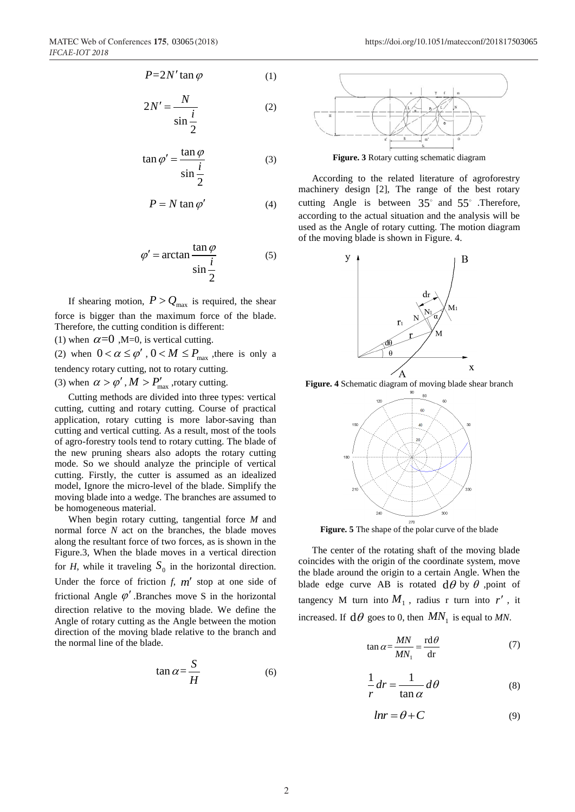$$
P = 2N' \tan \varphi \tag{1}
$$

$$
2N' = \frac{N}{\sin\frac{i}{2}}\tag{2}
$$

$$
\tan \varphi' = \frac{\tan \varphi}{\sin \frac{i}{2}} \tag{3}
$$

$$
P = N \tan \varphi' \tag{4}
$$

$$
\varphi' = \arctan \frac{\tan \varphi}{\sin \frac{i}{2}} \tag{5}
$$

If shearing motion,  $P > Q_{\text{max}}$  is required, the shear force is bigger than the maximum force of the blade. Therefore, the cutting condition is different:

(1) when  $\alpha$ =0, M=0, is vertical cutting.

(2) when  $0 < \alpha \le \varphi'$ ,  $0 < M \le P_{\text{max}}$ , there is only a

tendency rotary cutting, not to rotary cutting.

(3) when  $\alpha > \varphi'$ ,  $M > P'_{\text{max}}$ , rotary cutting.

Cutting methods are divided into three types: vertical cutting, cutting and rotary cutting. Course of practical application, rotary cutting is more labor-saving than cutting and vertical cutting. As a result, most of the tools of agro-forestry tools tend to rotary cutting. The blade of the new pruning shears also adopts the rotary cutting mode. So we should analyze the principle of vertical cutting. Firstly, the cutter is assumed as an idealized model, Ignore the micro-level of the blade. Simplify the moving blade into a wedge. The branches are assumed to be homogeneous material.

When begin rotary cutting, tangential force *M* and normal force *N* act on the branches, the blade moves along the resultant force of two forces, as is shown in the Figure.3, When the blade moves in a vertical direction for *H*, while it traveling  $S_0$  in the horizontal direction. Under the force of friction  $f$ ,  $m'$  stop at one side of frictional Angle  $\varphi'$ . Branches move S in the horizontal direction relative to the moving blade. We define the Angle of rotary cutting as the Angle between the motion direction of the moving blade relative to the branch and the normal line of the blade.

$$
\tan \alpha = \frac{S}{H} \tag{6}
$$



**Figure. 3** Rotary cutting schematic diagram

According to the related literature of agroforestry machinery design [2], The range of the best rotary cutting Angle is between  $35^{\circ}$  and  $55^{\circ}$  . Therefore, according to the actual situation and the analysis will be used as the Angle of rotary cutting. The motion diagram of the moving blade is shown in Figure. 4.



**Figure. 4** Schematic diagram of moving blade shear branch



**Figure. 5** The shape of the polar curve of the blade

The center of the rotating shaft of the moving blade coincides with the origin of the coordinate system, move the blade around the origin to a certain Angle. When the blade edge curve AB is rotated  $d\theta$  by  $\theta$  , point of tangency M turn into  $M_1$ , radius r turn into  $r'$ , it increased. If  $d\theta$  goes to 0, then  $MN_1$  is equal to *MN*.

$$
\tan \alpha = \frac{MN}{MN_1} = \frac{\text{rd}\,\theta}{\text{dr}}\tag{7}
$$

$$
\frac{1}{r}dr = \frac{1}{\tan \alpha}d\theta
$$
 (8)

$$
lnr = \theta + C \tag{9}
$$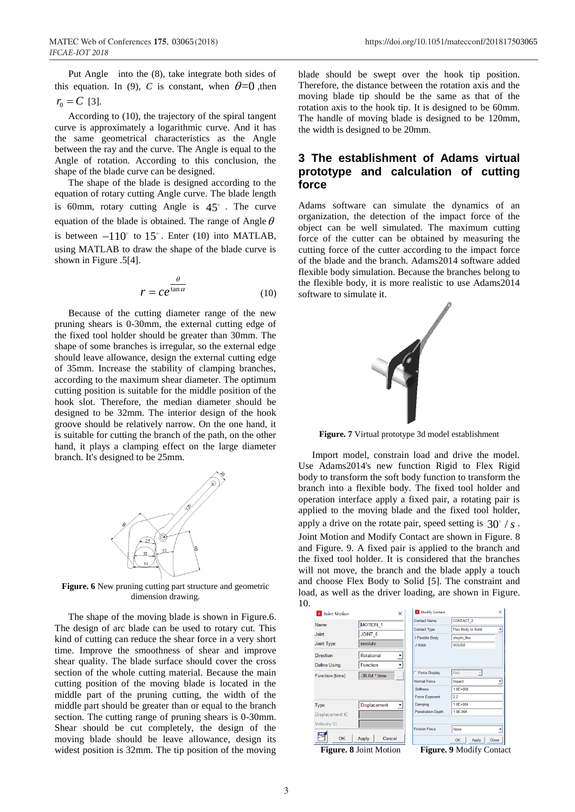Put Angle into the (8), take integrate both sides of this equation. In (9), C is constant, when  $\theta = 0$ , then  $r_0 = C$  [3].

According to (10), the trajectory of the spiral tangent curve is approximately a logarithmic curve. And it has the same geometrical characteristics as the Angle between the ray and the curve. The Angle is equal to the Angle of rotation. According to this conclusion, the shape of the blade curve can be designed.

The shape of the blade is designed according to the equation of rotary cutting Angle curve. The blade length is 60mm, rotary cutting Angle is 45 . The curve equation of the blade is obtained. The range of Angle  $\theta$ is between  $-110^{\circ}$  to  $15^{\circ}$ . Enter (10) into MATLAB, using MATLAB to draw the shape of the blade curve is shown in Figure .5[4].

$$
r = ce^{\frac{\theta}{\tan \alpha}}
$$
 (10)

Because of the cutting diameter range of the new pruning shears is 0-30mm, the external cutting edge of the fixed tool holder should be greater than 30mm. The shape of some branches is irregular, so the external edge should leave allowance, design the external cutting edge of 35mm. Increase the stability of clamping branches, according to the maximum shear diameter. The optimum cutting position is suitable for the middle position of the hook slot. Therefore, the median diameter should be designed to be 32mm. The interior design of the hook groove should be relatively narrow. On the one hand, it is suitable for cutting the branch of the path, on the other hand, it plays a clamping effect on the large diameter branch. It's designed to be 25mm.



**Figure. 6** New pruning cutting part structure and geometric dimension drawing.

The shape of the moving blade is shown in Figure.6. The design of arc blade can be used to rotary cut. This kind of cutting can reduce the shear force in a very short time. Improve the smoothness of shear and improve shear quality. The blade surface should cover the cross section of the whole cutting material. Because the main cutting position of the moving blade is located in the middle part of the pruning cutting, the width of the middle part should be greater than or equal to the branch section. The cutting range of pruning shears is 0-30mm. Shear should be cut completely, the design of the moving blade should be leave allowance, design its widest position is 32mm. The tip position of the moving blade should be swept over the hook tip position. Therefore, the distance between the rotation axis and the moving blade tip should be the same as that of the rotation axis to the hook tip. It is designed to be 60mm. The handle of moving blade is designed to be 120mm, the width is designed to be 20mm.

## **3 The establishment of Adams virtual prototype and calculation of cutting force**

Adams software can simulate the dynamics of an organization, the detection of the impact force of the object can be well simulated. The maximum cutting force of the cutter can be obtained by measuring the cutting force of the cutter according to the impact force of the blade and the branch. Adams2014 software added flexible body simulation. Because the branches belong to the flexible body, it is more realistic to use Adams2014 software to simulate it.



**Figure. 7** Virtual prototype 3d model establishment

Import model, constrain load and drive the model. Use Adams2014's new function Rigid to Flex Rigid body to transform the soft body function to transform the branch into a flexible body. The fixed tool holder and operation interface apply a fixed pair, a rotating pair is applied to the moving blade and the fixed tool holder, apply a drive on the rotate pair, speed setting is  $30^{\circ}$  / *s*. Joint Motion and Modify Contact are shown in Figure. 8 and Figure. 9. A fixed pair is applied to the branch and the fixed tool holder. It is considered that the branches will not move, the branch and the blade apply a touch and choose Flex Body to Solid [5]. The constraint and load, as well as the driver loading, are shown in Figure. 10.

| <b>A</b> Joint Motion |                     | $\times$ | Modify Contact           |                       | $\times$                 |
|-----------------------|---------------------|----------|--------------------------|-----------------------|--------------------------|
| <b>Name</b>           | <b>MOTION 1</b>     |          | <b>Contact Name</b>      | <b>CONTACT 2</b>      |                          |
|                       |                     |          | <b>Contact Type</b>      | Flex Body to Solid    | ٠                        |
| <b>Joint</b>          | JOINT 5             |          | I Flexible Body          | shuzhi flex           |                          |
| <b>Joint Type</b>     | revolute            |          | J Solid                  | SOLID <sub>2</sub>    |                          |
| Direction             | Rotational          | ▼        |                          |                       |                          |
| Define Using          | <b>Function</b>     | <b>v</b> |                          |                       |                          |
| Function (time)       | -30.0d * time       |          | <b>Force Display</b>     | Red                   |                          |
|                       |                     |          | Normal Force             | Impact                | $\overline{ }$           |
|                       |                     |          | <b>Stiffness</b>         | $1.0E + 008$          |                          |
|                       |                     |          | <b>Force Exponent</b>    | 2.2                   |                          |
| Type                  | <b>Displacement</b> |          | Damping                  | $1.0F + 004$          |                          |
| Displacement IC       |                     |          | <b>Penetration Depth</b> | 1.0E-004              |                          |
| <b>Velocity IC</b>    |                     |          |                          |                       |                          |
|                       |                     |          | <b>Friction Force</b>    | None                  | $\overline{\phantom{a}}$ |
| OK                    | Cancel<br>Apply     |          |                          | OK<br>Apply           | Close                    |
| Б:                    | $0$ Leint Mation    |          | П'⊶----                  | $0.116.4$ ify Contact |                          |

 **Figure. 8** Joint Motion **Figure. 9** Modify Contact